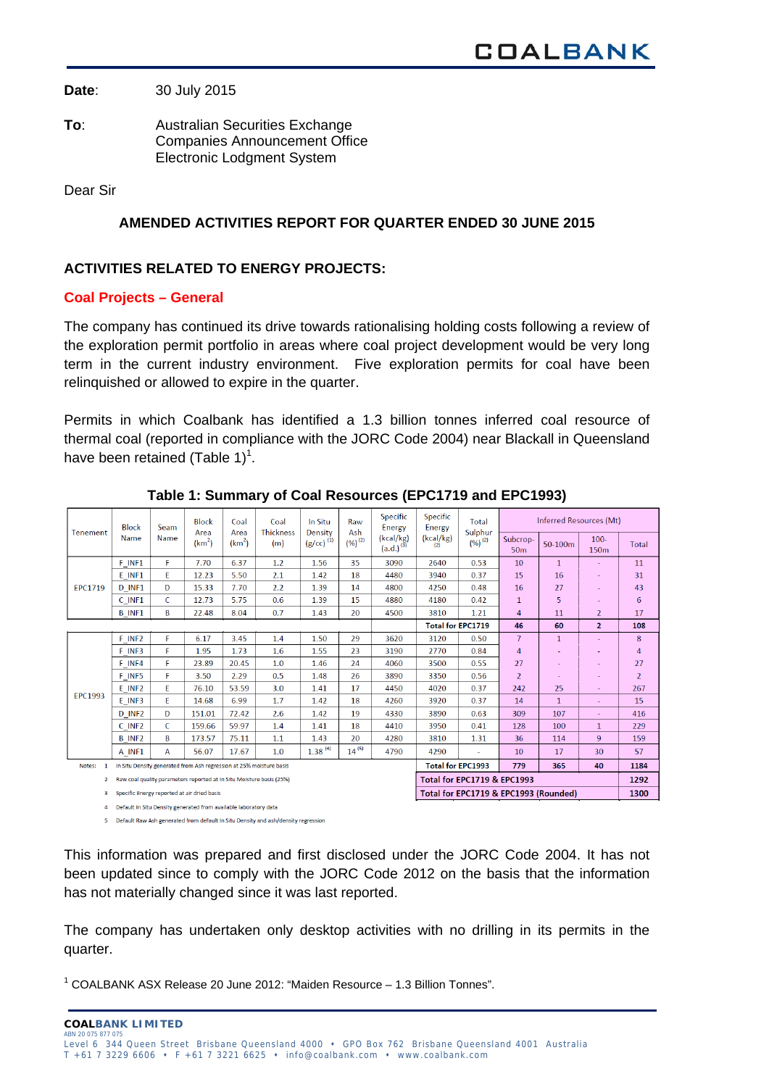**Date**: 30 July 2015

**To**: Australian Securities Exchange Companies Announcement Office Electronic Lodgment System

Dear Sir

# **AMENDED ACTIVITIES REPORT FOR QUARTER ENDED 30 JUNE 2015**

## **ACTIVITIES RELATED TO ENERGY PROJECTS:**

## **Coal Projects – General**

The company has continued its drive towards rationalising holding costs following a review of the exploration permit portfolio in areas where coal project development would be very long term in the current industry environment. Five exploration permits for coal have been relinquished or allowed to expire in the quarter.

Permits in which Coalbank has identified a 1.3 billion tonnes inferred coal resource of thermal coal (reported in compliance with the JORC Code 2004) near Blackall in Queensland have been retained (Table 1)<sup>1</sup>.

| Tenement       | <b>Block</b><br>Name                                                 | Seam<br><b>Name</b> | <b>Block</b><br>Area<br>(km <sup>2</sup> ) | Coal<br>Area<br>(km <sup>2</sup> ) | Coal<br><b>Thickness</b><br>(m) | In Situ<br>Density<br>$(g/cc)^{(1)}$ | Raw<br>Ash<br>$(%)^{(2)}$                    | Specific<br>Energy<br>(kcal/kg)<br>$(a.d.)^{(3)}$ | <b>Specific</b><br>Energy<br>(kcal/kg)<br>(2) | Total<br>Sulphur<br>$(%)^{(2)}$ | <b>Inferred Resources (Mt)</b> |              |                             |                |
|----------------|----------------------------------------------------------------------|---------------------|--------------------------------------------|------------------------------------|---------------------------------|--------------------------------------|----------------------------------------------|---------------------------------------------------|-----------------------------------------------|---------------------------------|--------------------------------|--------------|-----------------------------|----------------|
|                |                                                                      |                     |                                            |                                    |                                 |                                      |                                              |                                                   |                                               |                                 | Subcrop-<br>50 <sub>m</sub>    | 50-100m      | $100 -$<br>150 <sub>m</sub> | Total          |
| <b>EPC1719</b> | F INF1                                                               | F.                  | 7.70                                       | 6.37                               | 1.2                             | 1.56                                 | 35                                           | 3090                                              | 2640                                          | 0.53                            | 10                             | $\mathbf{1}$ | ٠                           | 11             |
|                | E INF1                                                               | E.                  | 12.23                                      | 5.50                               | 2.1                             | 1.42                                 | 18                                           | 4480                                              | 3940                                          | 0.37                            | 15                             | 16           |                             | 31             |
|                | D INF1                                                               | D                   | 15.33                                      | 7.70                               | 2.2                             | 1.39                                 | 14                                           | 4800                                              | 4250                                          | 0.48                            | 16                             | 27           | ٠                           | 43             |
|                | $C$ INF1                                                             | C                   | 12.73                                      | 5.75                               | 0.6                             | 1.39                                 | 15                                           | 4880                                              | 4180                                          | 0.42                            | $\mathbf{1}$                   | 5            | ٠                           | 6              |
|                | <b>B</b> INF1                                                        | B                   | 22.48                                      | 8.04                               | 0.7                             | 1.43                                 | 20                                           | 4500                                              | 3810                                          | 1.21                            | 4                              | 11           | $\overline{2}$              | 17             |
|                |                                                                      |                     |                                            |                                    |                                 |                                      |                                              |                                                   | <b>Total for EPC1719</b>                      |                                 | 46                             | 60           | $\overline{2}$              | 108            |
|                | F INF <sub>2</sub>                                                   | F                   | 6.17                                       | 3.45                               | 1.4                             | 1.50                                 | 29                                           | 3620                                              | 3120                                          | 0.50                            | $\overline{7}$                 | 1            |                             | 8              |
| <b>EPC1993</b> | F INF3                                                               | F                   | 1.95                                       | 1.73                               | 1.6                             | 1.55                                 | 23                                           | 3190                                              | 2770                                          | 0.84                            | 4                              |              |                             | 4              |
|                | F INF4                                                               | F                   | 23.89                                      | 20.45                              | 1.0                             | 1.46                                 | 24                                           | 4060                                              | 3500                                          | 0.55                            | 27                             |              |                             | 27             |
|                | F INF5                                                               | F                   | 3.50                                       | 2.29                               | 0.5                             | 1.48                                 | 26                                           | 3890                                              | 3350                                          | 0.56                            | $\overline{2}$                 |              | $\sim$                      | $\overline{2}$ |
|                | E INF2                                                               | E.                  | 76.10                                      | 53.59                              | 3.0                             | 1.41                                 | 17                                           | 4450                                              | 4020                                          | 0.37                            | 242                            | 25           | ٠                           | 267            |
|                | E INF3                                                               | F.                  | 14.68                                      | 6.99                               | 1.7                             | 1.42                                 | 18                                           | 4260                                              | 3920                                          | 0.37                            | 14                             | $\mathbf{1}$ | ٠                           | 15             |
|                | D INF <sub>2</sub>                                                   | D                   | 151.01                                     | 72.42                              | 2.6                             | 1.42                                 | 19                                           | 4330                                              | 3890                                          | 0.63                            | 309                            | 107          |                             | 416            |
|                | C INF <sub>2</sub>                                                   | C                   | 159.66                                     | 59.97                              | 1.4                             | 1.41                                 | 18                                           | 4410                                              | 3950                                          | 0.41                            | 128                            | 100          | $\mathbf{1}$                | 229            |
|                | <b>B</b> INF <sub>2</sub>                                            | B                   | 173.57                                     | 75.11                              | 1.1                             | 1.43                                 | 20                                           | 4280                                              | 3810                                          | 1.31                            | 36                             | 114          | 9                           | 159            |
|                | A INF1                                                               | A                   | 56.07                                      | 17.67                              | 1.0                             | $1.38^{(4)}$                         | $14^{(5)}$                                   | 4790                                              | 4290                                          | ä,                              | 10                             | 17           | 30                          | 57             |
| Notes:         | In Situ Density generated from Ash regression at 25% moisture basis  |                     |                                            |                                    |                                 |                                      | <b>Total for EPC1993</b><br>779<br>365<br>40 |                                                   |                                               | 1184                            |                                |              |                             |                |
| $\mathbf{2}$   | Raw coal quality parameters reported at In Situ Moisture basis (25%) |                     |                                            |                                    |                                 | Total for EPC1719 & EPC1993          |                                              |                                                   |                                               | 1292                            |                                |              |                             |                |
| 3              | Specific Energy reported at air dried basis                          |                     |                                            |                                    |                                 |                                      | Total for EPC1719 & EPC1993 (Rounded)        |                                                   |                                               |                                 | 1300                           |              |                             |                |
| 4              | Default In Situ Density generated from available laboratory data     |                     |                                            |                                    |                                 |                                      |                                              |                                                   |                                               |                                 |                                |              |                             |                |

**Table 1: Summary of Coal Resources (EPC1719 and EPC1993)** 

5 Default Raw Ash generated from default In Situ Density and ash/density regression

This information was prepared and first disclosed under the JORC Code 2004. It has not been updated since to comply with the JORC Code 2012 on the basis that the information has not materially changed since it was last reported.

The company has undertaken only desktop activities with no drilling in its permits in the quarter.

<sup>1</sup> COALBANK ASX Release 20 June 2012: "Maiden Resource - 1.3 Billion Tonnes".

**COALBANK LIMITED** ABN 20 075 877 075 Level 6 344 Queen Street Brisbane Queensland 4000 • GPO Box 762 Brisbane Queensland 4001 Australia  $T +61$  7 3229 6606  $\cdot$  F +61 7 3221 6625  $\cdot$  info@coalbank.com  $\cdot$  www.coalbank.com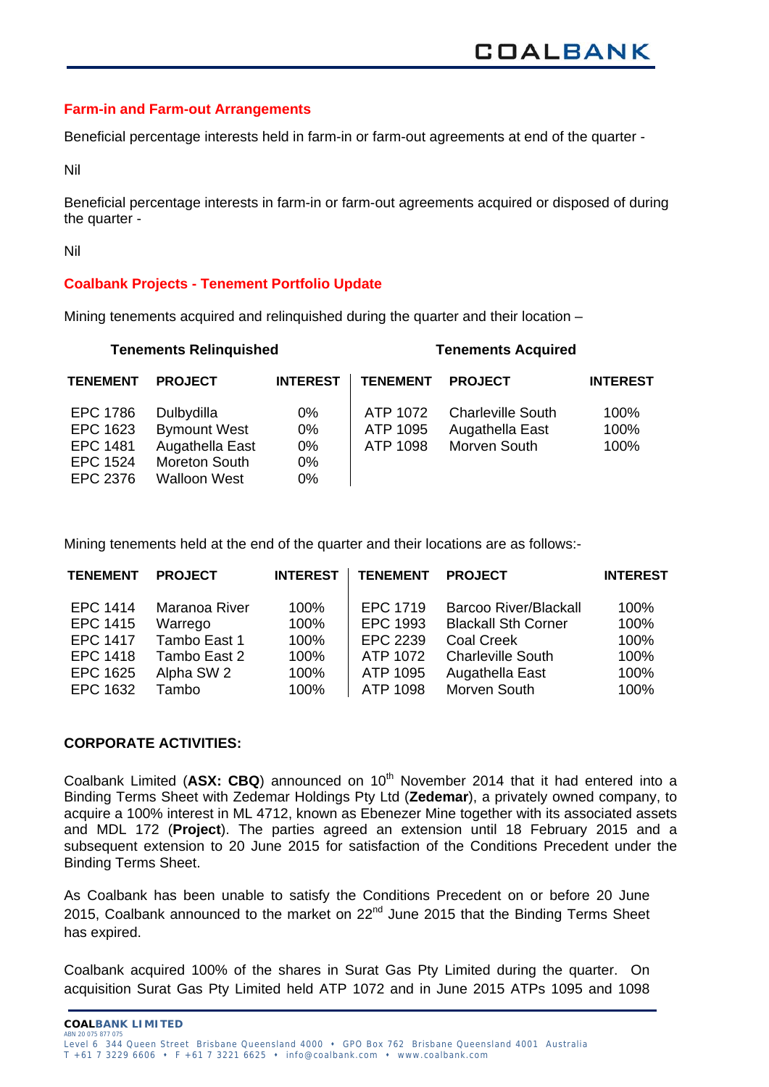#### **Farm-in and Farm-out Arrangements**

Beneficial percentage interests held in farm-in or farm-out agreements at end of the quarter -

Nil

Beneficial percentage interests in farm-in or farm-out agreements acquired or disposed of during the quarter -

Nil

## **Coalbank Projects - Tenement Portfolio Update**

Mining tenements acquired and relinquished during the quarter and their location –

|                                                                               | <b>Tenements Relinquished</b>                                                                |                                     |                                  | <b>Tenements Acquired</b>                                   |                      |
|-------------------------------------------------------------------------------|----------------------------------------------------------------------------------------------|-------------------------------------|----------------------------------|-------------------------------------------------------------|----------------------|
| <b>TENEMENT</b>                                                               | <b>PROJECT</b>                                                                               | <b>INTEREST</b>                     | <b>TENEMENT</b>                  | <b>PROJECT</b>                                              | <b>INTEREST</b>      |
| <b>EPC 1786</b><br>EPC 1623<br><b>EPC 1481</b><br><b>EPC 1524</b><br>EPC 2376 | Dulbydilla<br><b>Bymount West</b><br>Augathella East<br>Moreton South<br><b>Walloon West</b> | $0\%$<br>0%<br>0%<br>$0\%$<br>$0\%$ | ATP 1072<br>ATP 1095<br>ATP 1098 | <b>Charleville South</b><br>Augathella East<br>Morven South | 100%<br>100%<br>100% |

Mining tenements held at the end of the quarter and their locations are as follows:-

| <b>TENEMENT</b> | <b>PROJECT</b> | <b>INTEREST</b> | <b>TENEMENT</b> | <b>PROJECT</b>               | <b>INTEREST</b> |
|-----------------|----------------|-----------------|-----------------|------------------------------|-----------------|
| <b>EPC 1414</b> | Maranoa River  | 100%            | EPC 1719        | <b>Barcoo River/Blackall</b> | 100%            |
| EPC 1415        | Warrego        | 100%            | EPC 1993        | <b>Blackall Sth Corner</b>   | 100%            |
| <b>EPC 1417</b> | Tambo East 1   | 100%            | EPC 2239        | <b>Coal Creek</b>            | 100%            |
| EPC 1418        | Tambo East 2   | 100%            | ATP 1072        | <b>Charleville South</b>     | 100%            |
| EPC 1625        | Alpha SW 2     | 100%            | ATP 1095        | Augathella East              | 100%            |
| EPC 1632        | Tambo          | 100%            | ATP 1098        | Morven South                 | 100%            |

## **CORPORATE ACTIVITIES:**

Coalbank Limited (ASX: CBQ) announced on 10<sup>th</sup> November 2014 that it had entered into a Binding Terms Sheet with Zedemar Holdings Pty Ltd (**Zedemar**), a privately owned company, to acquire a 100% interest in ML 4712, known as Ebenezer Mine together with its associated assets and MDL 172 (**Project**). The parties agreed an extension until 18 February 2015 and a subsequent extension to 20 June 2015 for satisfaction of the Conditions Precedent under the Binding Terms Sheet.

As Coalbank has been unable to satisfy the Conditions Precedent on or before 20 June 2015, Coalbank announced to the market on  $22<sup>nd</sup>$  June 2015 that the Binding Terms Sheet has expired.

Coalbank acquired 100% of the shares in Surat Gas Pty Limited during the quarter. On acquisition Surat Gas Pty Limited held ATP 1072 and in June 2015 ATPs 1095 and 1098

**COALBANK LIMITED**